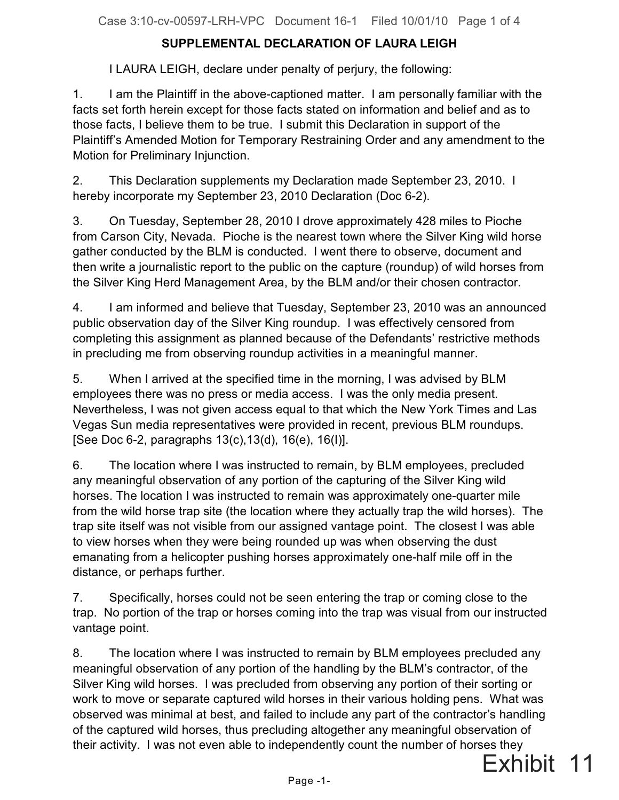## **SUPPLEMENTAL DECLARATION OF LAURA LEIGH**

I LAURA LEIGH, declare under penalty of perjury, the following:

1. I am the Plaintiff in the above-captioned matter. I am personally familiar with the facts set forth herein except for those facts stated on information and belief and as to those facts, I believe them to be true. I submit this Declaration in support of the Plaintiff's Amended Motion for Temporary Restraining Order and any amendment to the Motion for Preliminary Injunction.

2. This Declaration supplements my Declaration made September 23, 2010. I hereby incorporate my September 23, 2010 Declaration (Doc 6-2).

3. On Tuesday, September 28, 2010 I drove approximately 428 miles to Pioche from Carson City, Nevada. Pioche is the nearest town where the Silver King wild horse gather conducted by the BLM is conducted. I went there to observe, document and then write a journalistic report to the public on the capture (roundup) of wild horses from the Silver King Herd Management Area, by the BLM and/or their chosen contractor.

4. I am informed and believe that Tuesday, September 23, 2010 was an announced public observation day of the Silver King roundup. I was effectively censored from completing this assignment as planned because of the Defendants' restrictive methods in precluding me from observing roundup activities in a meaningful manner.

5. When I arrived at the specified time in the morning, I was advised by BLM employees there was no press or media access. I was the only media present. Nevertheless, I was not given access equal to that which the New York Times and Las Vegas Sun media representatives were provided in recent, previous BLM roundups. [See Doc 6-2, paragraphs 13(c),13(d), 16(e), 16(I)].

6. The location where I was instructed to remain, by BLM employees, precluded any meaningful observation of any portion of the capturing of the Silver King wild horses. The location I was instructed to remain was approximately one-quarter mile from the wild horse trap site (the location where they actually trap the wild horses). The trap site itself was not visible from our assigned vantage point. The closest I was able to view horses when they were being rounded up was when observing the dust emanating from a helicopter pushing horses approximately one-half mile off in the distance, or perhaps further.

7. Specifically, horses could not be seen entering the trap or coming close to the trap. No portion of the trap or horses coming into the trap was visual from our instructed vantage point.

8. The location where I was instructed to remain by BLM employees precluded any meaningful observation of any portion of the handling by the BLM's contractor, of the Silver King wild horses. I was precluded from observing any portion of their sorting or work to move or separate captured wild horses in their various holding pens. What was observed was minimal at best, and failed to include any part of the contractor's handling of the captured wild horses, thus precluding altogether any meaningful observation of their activity. I was not even able to independently count the number of horses they

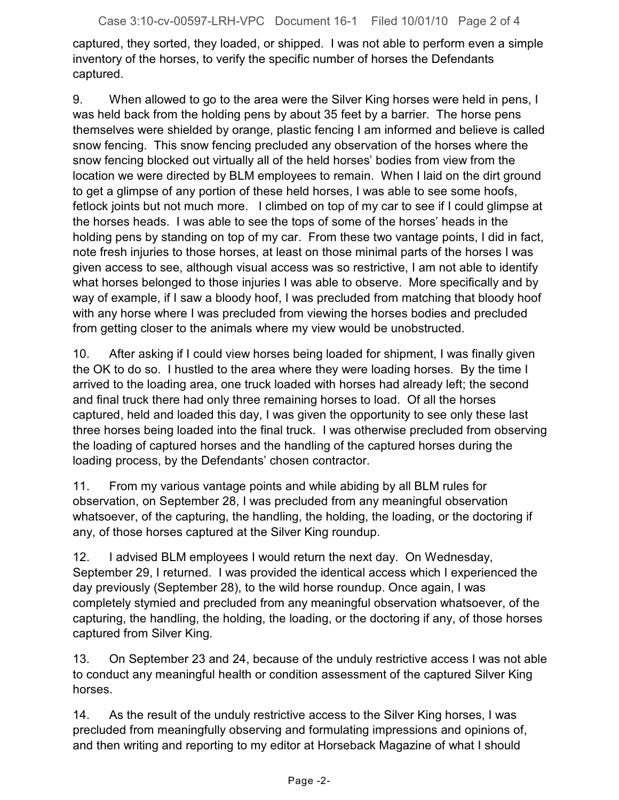captured, they sorted, they loaded, or shipped. I was not able to perform even a simple inventory of the horses, to verify the specific number of horses the Defendants captured.

9. When allowed to go to the area were the Silver King horses were held in pens, I was held back from the holding pens by about 35 feet by a barrier. The horse pens themselves were shielded by orange, plastic fencing I am informed and believe is called snow fencing. This snow fencing precluded any observation of the horses where the snow fencing blocked out virtually all of the held horses' bodies from view from the location we were directed by BLM employees to remain. When I laid on the dirt ground to get a glimpse of any portion of these held horses, I was able to see some hoofs, fetlock joints but not much more. I climbed on top of my car to see if I could glimpse at the horses heads. I was able to see the tops of some of the horses' heads in the holding pens by standing on top of my car. From these two vantage points, I did in fact, note fresh injuries to those horses, at least on those minimal parts of the horses I was given access to see, although visual access was so restrictive, I am not able to identify what horses belonged to those injuries I was able to observe. More specifically and by way of example, if I saw a bloody hoof, I was precluded from matching that bloody hoof with any horse where I was precluded from viewing the horses bodies and precluded from getting closer to the animals where my view would be unobstructed.

10. After asking if I could view horses being loaded for shipment, I was finally given the OK to do so. I hustled to the area where they were loading horses. By the time I arrived to the loading area, one truck loaded with horses had already left; the second and final truck there had only three remaining horses to load. Of all the horses captured, held and loaded this day, I was given the opportunity to see only these last three horses being loaded into the final truck. I was otherwise precluded from observing the loading of captured horses and the handling of the captured horses during the loading process, by the Defendants' chosen contractor.

11. From my various vantage points and while abiding by all BLM rules for observation, on September 28, I was precluded from any meaningful observation whatsoever, of the capturing, the handling, the holding, the loading, or the doctoring if any, of those horses captured at the Silver King roundup.

12. I advised BLM employees I would return the next day. On Wednesday, September 29, I returned. I was provided the identical access which I experienced the day previously (September 28), to the wild horse roundup. Once again, I was completely stymied and precluded from any meaningful observation whatsoever, of the capturing, the handling, the holding, the loading, or the doctoring if any, of those horses captured from Silver King.

13. On September 23 and 24, because of the unduly restrictive access I was not able to conduct any meaningful health or condition assessment of the captured Silver King horses.

14. As the result of the unduly restrictive access to the Silver King horses, I was precluded from meaningfully observing and formulating impressions and opinions of, and then writing and reporting to my editor at Horseback Magazine of what I should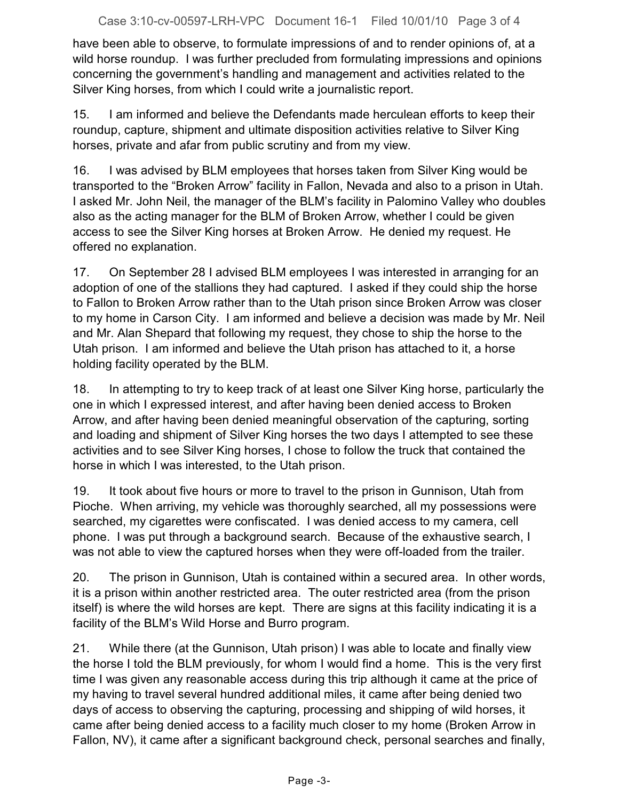have been able to observe, to formulate impressions of and to render opinions of, at a wild horse roundup. I was further precluded from formulating impressions and opinions concerning the government's handling and management and activities related to the Silver King horses, from which I could write a journalistic report.

15. I am informed and believe the Defendants made herculean efforts to keep their roundup, capture, shipment and ultimate disposition activities relative to Silver King horses, private and afar from public scrutiny and from my view.

16. I was advised by BLM employees that horses taken from Silver King would be transported to the "Broken Arrow" facility in Fallon, Nevada and also to a prison in Utah. I asked Mr. John Neil, the manager of the BLM's facility in Palomino Valley who doubles also as the acting manager for the BLM of Broken Arrow, whether I could be given access to see the Silver King horses at Broken Arrow. He denied my request. He offered no explanation.

17. On September 28 I advised BLM employees I was interested in arranging for an adoption of one of the stallions they had captured. I asked if they could ship the horse to Fallon to Broken Arrow rather than to the Utah prison since Broken Arrow was closer to my home in Carson City. I am informed and believe a decision was made by Mr. Neil and Mr. Alan Shepard that following my request, they chose to ship the horse to the Utah prison. I am informed and believe the Utah prison has attached to it, a horse holding facility operated by the BLM.

18. In attempting to try to keep track of at least one Silver King horse, particularly the one in which I expressed interest, and after having been denied access to Broken Arrow, and after having been denied meaningful observation of the capturing, sorting and loading and shipment of Silver King horses the two days I attempted to see these activities and to see Silver King horses, I chose to follow the truck that contained the horse in which I was interested, to the Utah prison.

19. It took about five hours or more to travel to the prison in Gunnison, Utah from Pioche. When arriving, my vehicle was thoroughly searched, all my possessions were searched, my cigarettes were confiscated. I was denied access to my camera, cell phone. I was put through a background search. Because of the exhaustive search, I was not able to view the captured horses when they were off-loaded from the trailer.

20. The prison in Gunnison, Utah is contained within a secured area. In other words, it is a prison within another restricted area. The outer restricted area (from the prison itself) is where the wild horses are kept. There are signs at this facility indicating it is a facility of the BLM's Wild Horse and Burro program.

21. While there (at the Gunnison, Utah prison) I was able to locate and finally view the horse I told the BLM previously, for whom I would find a home. This is the very first time I was given any reasonable access during this trip although it came at the price of my having to travel several hundred additional miles, it came after being denied two days of access to observing the capturing, processing and shipping of wild horses, it came after being denied access to a facility much closer to my home (Broken Arrow in Fallon, NV), it came after a significant background check, personal searches and finally,